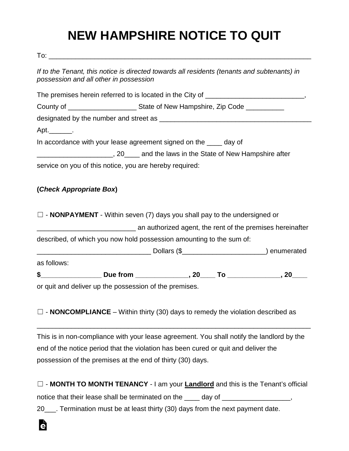## **NEW HAMPSHIRE NOTICE TO QUIT**

To: \_\_\_\_\_\_\_\_\_\_\_\_\_\_\_\_\_\_\_\_\_\_\_\_\_\_\_\_\_\_\_\_\_\_\_\_\_\_\_\_\_\_\_\_\_\_\_\_\_\_\_\_\_\_\_\_\_\_\_\_\_\_\_\_\_\_\_\_\_

Ġ

| If to the Tenant, this notice is directed towards all residents (tenants and subtenants) in<br>possession and all other in possession |  |  |  |
|---------------------------------------------------------------------------------------------------------------------------------------|--|--|--|
|                                                                                                                                       |  |  |  |
|                                                                                                                                       |  |  |  |
|                                                                                                                                       |  |  |  |
| Apt. $\_\_\_\_\_\_\$ .                                                                                                                |  |  |  |
| In accordance with your lease agreement signed on the ____ day of                                                                     |  |  |  |
|                                                                                                                                       |  |  |  |
| service on you of this notice, you are hereby required:                                                                               |  |  |  |
| $\Box$ - <b>NONPAYMENT</b> - Within seven (7) days you shall pay to the undersigned or                                                |  |  |  |
|                                                                                                                                       |  |  |  |
| described, of which you now hold possession amounting to the sum of:                                                                  |  |  |  |
|                                                                                                                                       |  |  |  |
| as follows:                                                                                                                           |  |  |  |
|                                                                                                                                       |  |  |  |
| or quit and deliver up the possession of the premises.                                                                                |  |  |  |
| $\Box$ - NONCOMPLIANCE – Within thirty (30) days to remedy the violation described as                                                 |  |  |  |

This is in non-compliance with your lease agreement. You shall notify the landlord by the end of the notice period that the violation has been cured or quit and deliver the possession of the premises at the end of thirty (30) days.

□ - **MONTH TO MONTH TENANCY** - I am your **Landlord** and this is the Tenant's official notice that their lease shall be terminated on the \_\_\_\_ day of \_\_\_\_\_\_\_\_\_\_\_\_\_\_\_\_\_, 20\_\_\_. Termination must be at least thirty (30) days from the next payment date.